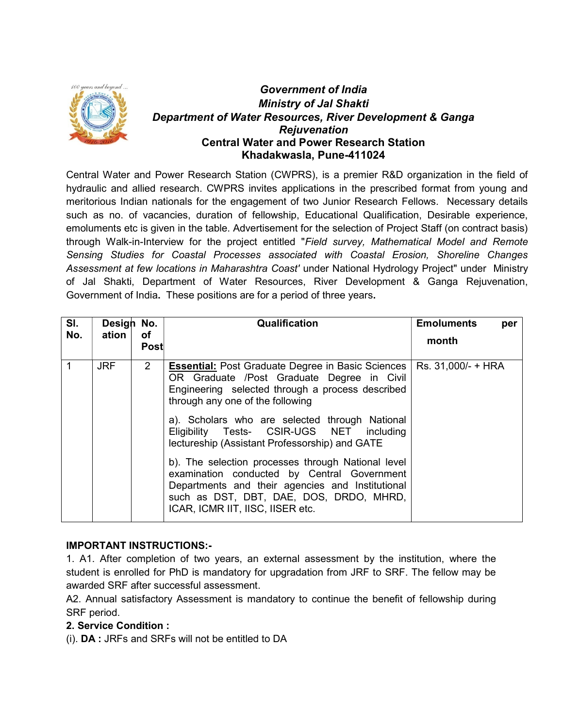

# Government of India Ministry of Jal Shakti Department of Water Resources, River Development & Ganga Rejuvenation Central Water and Power Research Station Khadakwasla, Pune-411024

Central Water and Power Research Station (CWPRS), is a premier R&D organization in the field of hydraulic and allied research. CWPRS invites applications in the prescribed format from young and meritorious Indian nationals for the engagement of two Junior Research Fellows. Necessary details such as no. of vacancies, duration of fellowship, Educational Qualification, Desirable experience, emoluments etc is given in the table. Advertisement for the selection of Project Staff (on contract basis) through Walk-in-Interview for the project entitled "Field survey, Mathematical Model and Remote Sensing Studies for Coastal Processes associated with Coastal Erosion, Shoreline Changes Assessment at few locations in Maharashtra Coast' under National Hydrology Project" under Ministry of Jal Shakti, Department of Water Resources, River Development & Ganga Rejuvenation, Government of India. These positions are for a period of three years.

| SI. | Design No. |                | Qualification                                                                                                                                                                                                                        | <b>Emoluments</b><br>per |
|-----|------------|----------------|--------------------------------------------------------------------------------------------------------------------------------------------------------------------------------------------------------------------------------------|--------------------------|
| No. | ation      | оf<br>Post     |                                                                                                                                                                                                                                      | month                    |
| 1   | <b>JRF</b> | 2 <sup>1</sup> | <b>Essential:</b> Post Graduate Degree in Basic Sciences<br>OR Graduate /Post Graduate Degree in Civil<br>Engineering selected through a process described<br>through any one of the following                                       | Rs. 31,000/- + HRA       |
|     |            |                | a). Scholars who are selected through National<br>Eligibility Tests- CSIR-UGS NET including<br>lectureship (Assistant Professorship) and GATE                                                                                        |                          |
|     |            |                | b). The selection processes through National level<br>examination conducted by Central Government<br>Departments and their agencies and Institutional<br>such as DST, DBT, DAE, DOS, DRDO, MHRD,<br>ICAR, ICMR IIT, IISC, IISER etc. |                          |

#### IMPORTANT INSTRUCTIONS:-

1. A1. After completion of two years, an external assessment by the institution, where the student is enrolled for PhD is mandatory for upgradation from JRF to SRF. The fellow may be awarded SRF after successful assessment.

A2. Annual satisfactory Assessment is mandatory to continue the benefit of fellowship during SRF period.

#### 2. Service Condition :

(i). DA : JRFs and SRFs will not be entitled to DA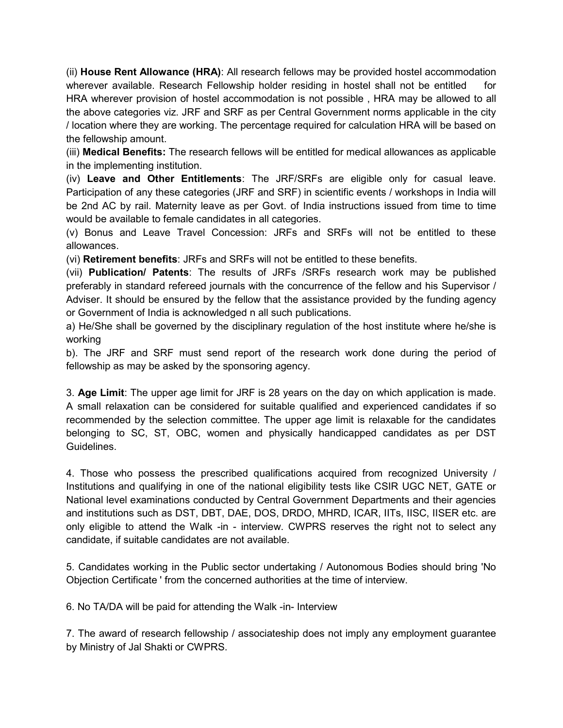(ii) House Rent Allowance (HRA): All research fellows may be provided hostel accommodation wherever available. Research Fellowship holder residing in hostel shall not be entitled for HRA wherever provision of hostel accommodation is not possible , HRA may be allowed to all the above categories viz. JRF and SRF as per Central Government norms applicable in the city / location where they are working. The percentage required for calculation HRA will be based on the fellowship amount.

(iii) Medical Benefits: The research fellows will be entitled for medical allowances as applicable in the implementing institution.

(iv) Leave and Other Entitlements: The JRF/SRFs are eligible only for casual leave. Participation of any these categories (JRF and SRF) in scientific events / workshops in India will be 2nd AC by rail. Maternity leave as per Govt. of India instructions issued from time to time would be available to female candidates in all categories.

(v) Bonus and Leave Travel Concession: JRFs and SRFs will not be entitled to these allowances.

(vi) Retirement benefits: JRFs and SRFs will not be entitled to these benefits.

(vii) Publication/ Patents: The results of JRFs /SRFs research work may be published preferably in standard refereed journals with the concurrence of the fellow and his Supervisor / Adviser. It should be ensured by the fellow that the assistance provided by the funding agency or Government of India is acknowledged n all such publications.

a) He/She shall be governed by the disciplinary regulation of the host institute where he/she is working

b). The JRF and SRF must send report of the research work done during the period of fellowship as may be asked by the sponsoring agency.

3. Age Limit: The upper age limit for JRF is 28 years on the day on which application is made. A small relaxation can be considered for suitable qualified and experienced candidates if so recommended by the selection committee. The upper age limit is relaxable for the candidates belonging to SC, ST, OBC, women and physically handicapped candidates as per DST Guidelines.

4. Those who possess the prescribed qualifications acquired from recognized University / Institutions and qualifying in one of the national eligibility tests like CSIR UGC NET, GATE or National level examinations conducted by Central Government Departments and their agencies and institutions such as DST, DBT, DAE, DOS, DRDO, MHRD, ICAR, IITs, IISC, IISER etc. are only eligible to attend the Walk -in - interview. CWPRS reserves the right not to select any candidate, if suitable candidates are not available.

5. Candidates working in the Public sector undertaking / Autonomous Bodies should bring 'No Objection Certificate ' from the concerned authorities at the time of interview.

6. No TA/DA will be paid for attending the Walk -in- Interview

7. The award of research fellowship / associateship does not imply any employment guarantee by Ministry of Jal Shakti or CWPRS.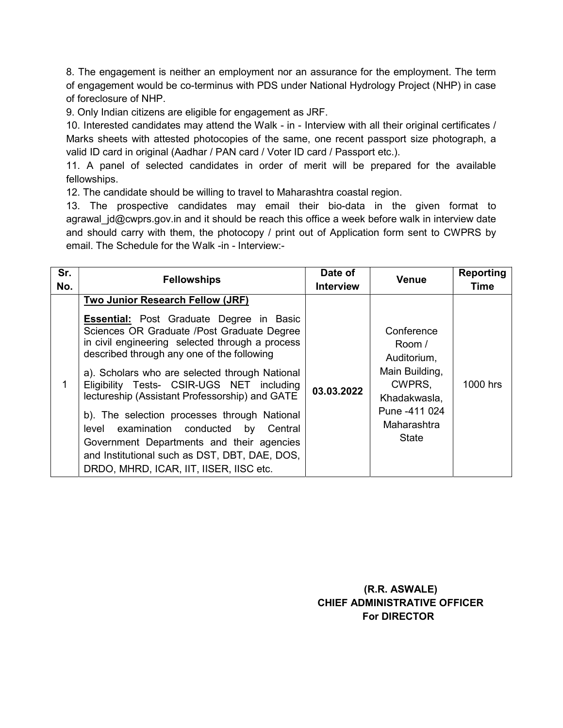8. The engagement is neither an employment nor an assurance for the employment. The term of engagement would be co-terminus with PDS under National Hydrology Project (NHP) in case of foreclosure of NHP.

9. Only Indian citizens are eligible for engagement as JRF.

10. Interested candidates may attend the Walk - in - Interview with all their original certificates / Marks sheets with attested photocopies of the same, one recent passport size photograph, a valid ID card in original (Aadhar / PAN card / Voter ID card / Passport etc.).

11. A panel of selected candidates in order of merit will be prepared for the available fellowships.

12. The candidate should be willing to travel to Maharashtra coastal region.

13. The prospective candidates may email their bio-data in the given format to agrawal  $jd@cwprs.gov.in$  and it should be reach this office a week before walk in interview date and should carry with them, the photocopy / print out of Application form sent to CWPRS by email. The Schedule for the Walk -in - Interview:-

| Sr.<br>No. | <b>Fellowships</b>                                                                                                                                                                                                                                                                                                                                                                                                                                                                                                                                                                                                           | Date of<br><b>Interview</b> | <b>Venue</b>                                                                                                             | Reporting<br><b>Time</b> |
|------------|------------------------------------------------------------------------------------------------------------------------------------------------------------------------------------------------------------------------------------------------------------------------------------------------------------------------------------------------------------------------------------------------------------------------------------------------------------------------------------------------------------------------------------------------------------------------------------------------------------------------------|-----------------------------|--------------------------------------------------------------------------------------------------------------------------|--------------------------|
| 1          | Two Junior Research Fellow (JRF)<br><b>Essential:</b> Post Graduate Degree in Basic<br>Sciences OR Graduate /Post Graduate Degree<br>in civil engineering selected through a process<br>described through any one of the following<br>a). Scholars who are selected through National<br>Eligibility Tests- CSIR-UGS NET including<br>lectureship (Assistant Professorship) and GATE<br>b). The selection processes through National<br>level examination conducted<br>by<br>Central<br>Government Departments and their agencies<br>and Institutional such as DST, DBT, DAE, DOS,<br>DRDO, MHRD, ICAR, IIT, IISER, IISC etc. | 03.03.2022                  | Conference<br>Room /<br>Auditorium,<br>Main Building,<br>CWPRS,<br>Khadakwasla,<br>Pune -411 024<br>Maharashtra<br>State | 1000 hrs                 |

 (R.R. ASWALE) CHIEF ADMINISTRATIVE OFFICER For DIRECTOR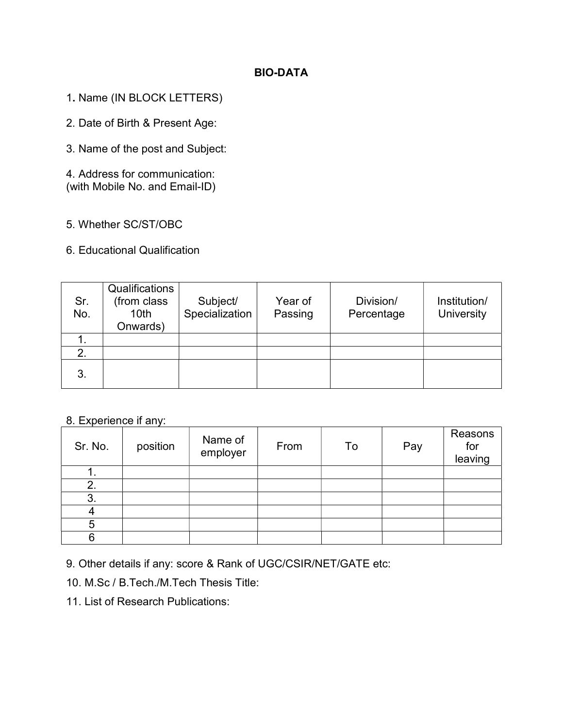# BIO-DATA

- 1. Name (IN BLOCK LETTERS)
- 2. Date of Birth & Present Age:
- 3. Name of the post and Subject:

4. Address for communication: (with Mobile No. and Email-ID)

- 5. Whether SC/ST/OBC
- 6. Educational Qualification

| Sr.<br>No. | Qualifications<br>(from class<br>10 <sub>th</sub><br>Onwards) | Subject/<br>Specialization | Year of<br>Passing | Division/<br>Percentage | Institution/<br><b>University</b> |
|------------|---------------------------------------------------------------|----------------------------|--------------------|-------------------------|-----------------------------------|
|            |                                                               |                            |                    |                         |                                   |
|            |                                                               |                            |                    |                         |                                   |
| 3.         |                                                               |                            |                    |                         |                                   |

# 8. Experience if any:

| Sr. No. | position | Name of<br>employer | From | To | Pay | Reasons<br>for<br>leaving |
|---------|----------|---------------------|------|----|-----|---------------------------|
|         |          |                     |      |    |     |                           |
| 2.      |          |                     |      |    |     |                           |
| 3.      |          |                     |      |    |     |                           |
|         |          |                     |      |    |     |                           |
|         |          |                     |      |    |     |                           |
|         |          |                     |      |    |     |                           |

9. Other details if any: score & Rank of UGC/CSIR/NET/GATE etc:

10. M.Sc / B.Tech./M.Tech Thesis Title:

11. List of Research Publications: